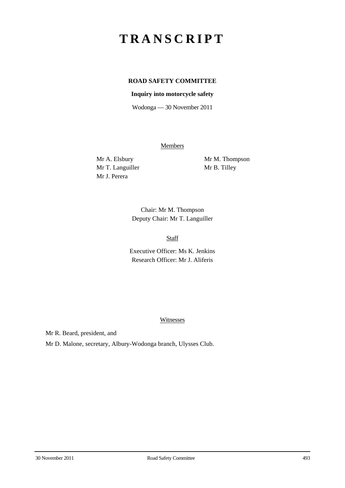## **TRANSCRIPT**

## **ROAD SAFETY COMMITTEE**

## **Inquiry into motorcycle safety**

Wodonga — 30 November 2011

**Members** 

Mr T. Languiller Mr B. Tilley Mr J. Perera

Mr A. Elsbury Mr M. Thompson

Chair: Mr M. Thompson Deputy Chair: Mr T. Languiller

Staff

Executive Officer: Ms K. Jenkins Research Officer: Mr J. Aliferis

Witnesses

Mr R. Beard, president, and

Mr D. Malone, secretary, Albury-Wodonga branch, Ulysses Club.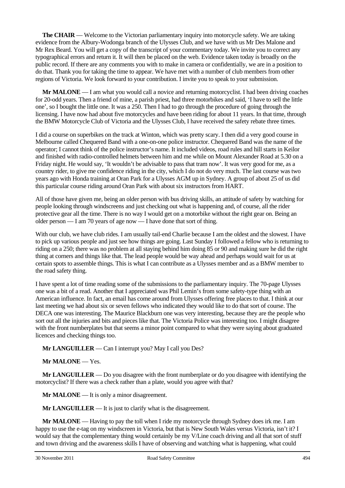**The CHAIR** — Welcome to the Victorian parliamentary inquiry into motorcycle safety. We are taking evidence from the Albury-Wodonga branch of the Ulysses Club, and we have with us Mr Des Malone and Mr Rex Beard. You will get a copy of the transcript of your commentary today. We invite you to correct any typographical errors and return it. It will then be placed on the web. Evidence taken today is broadly on the public record. If there are any comments you with to make in camera or confidentially, we are in a position to do that. Thank you for taking the time to appear. We have met with a number of club members from other regions of Victoria. We look forward to your contribution. I invite you to speak to your submission.

**Mr MALONE** — I am what you would call a novice and returning motorcyclist. I had been driving coaches for 20-odd years. Then a friend of mine, a parish priest, had three motorbikes and said, 'I have to sell the little one', so I bought the little one. It was a 250. Then I had to go through the procedure of going through the licensing. I have now had about five motorcycles and have been riding for about 11 years. In that time, through the BMW Motorcycle Club of Victoria and the Ulysses Club, I have received the safety rebate three times.

I did a course on superbikes on the track at Winton, which was pretty scary. I then did a very good course in Melbourne called Chequered Band with a one-on-one police instructor. Chequered Band was the name of the operator; I cannot think of the police instructor's name. It included videos, road rules and hill starts in Keilor and finished with radio-controlled helmets between him and me while on Mount Alexander Road at 5.30 on a Friday night. He would say, 'It wouldn't be advisable to pass that tram now'. It was very good for me, as a country rider, to give me confidence riding in the city, which I do not do very much. The last course was two years ago with Honda training at Oran Park for a Ulysses AGM up in Sydney. A group of about 25 of us did this particular course riding around Oran Park with about six instructors from HART.

All of those have given me, being an older person with bus driving skills, an attitude of safety by watching for people looking through windscreens and just checking out what is happening and, of course, all the rider protective gear all the time. There is no way I would get on a motorbike without the right gear on. Being an older person — I am 70 years of age now — I have done that sort of thing.

With our club, we have club rides. I am usually tail-end Charlie because I am the oldest and the slowest. I have to pick up various people and just see how things are going. Last Sunday I followed a fellow who is returning to riding on a 250; there was no problem at all staying behind him doing 85 or 90 and making sure he did the right thing at corners and things like that. The lead people would be way ahead and perhaps would wait for us at certain spots to assemble things. This is what I can contribute as a Ulysses member and as a BMW member to the road safety thing.

I have spent a lot of time reading some of the submissions to the parliamentary inquiry. The 70-page Ulysses one was a bit of a read. Another that I appreciated was Phil Lemin's from some safety-type thing with an American influence. In fact, an email has come around from Ulysses offering free places to that. I think at our last meeting we had about six or seven fellows who indicated they would like to do that sort of course. The DECA one was interesting. The Maurice Blackburn one was very interesting, because they are the people who sort out all the injuries and bits and pieces like that. The Victoria Police was interesting too. I might disagree with the front numberplates but that seems a minor point compared to what they were saying about graduated licences and checking things too.

**Mr LANGUILLER** — Can I interrupt you? May I call you Des?

**Mr MALONE** — Yes.

**Mr LANGUILLER** — Do you disagree with the front numberplate or do you disagree with identifying the motorcyclist? If there was a check rather than a plate, would you agree with that?

**Mr MALONE** — It is only a minor disagreement.

**Mr LANGUILLER** — It is just to clarify what is the disagreement.

**Mr MALONE** — Having to pay the toll when I ride my motorcycle through Sydney does irk me. I am happy to use the e-tag on my windscreen in Victoria, but that is New South Wales versus Victoria, isn't it? I would say that the complementary thing would certainly be my V/Line coach driving and all that sort of stuff and town driving and the awareness skills I have of observing and watching what is happening, what could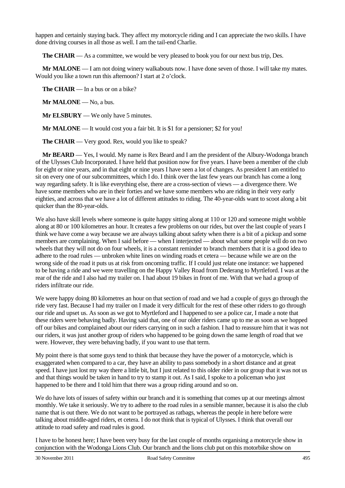happen and certainly staying back. They affect my motorcycle riding and I can appreciate the two skills. I have done driving courses in all those as well. I am the tail-end Charlie.

**The CHAIR** — As a committee, we would be very pleased to book you for our next bus trip, Des.

**Mr MALONE** — I am not doing winery walkabouts now. I have done seven of those. I will take my mates. Would you like a town run this afternoon? I start at 2 o'clock.

**The CHAIR** — In a bus or on a bike?

**Mr MALONE** — No, a bus.

**Mr ELSBURY** — We only have 5 minutes.

**Mr MALONE** — It would cost you a fair bit. It is \$1 for a pensioner; \$2 for you!

**The CHAIR** — Very good. Rex, would you like to speak?

**Mr BEARD** — Yes, I would. My name is Rex Beard and I am the president of the Albury-Wodonga branch of the Ulysses Club Incorporated. I have held that position now for five years. I have been a member of the club for eight or nine years, and in that eight or nine years I have seen a lot of changes. As president I am entitled to sit on every one of our subcommittees, which I do. I think over the last few years our branch has come a long way regarding safety. It is like everything else, there are a cross-section of views — a divergence there. We have some members who are in their forties and we have some members who are riding in their very early eighties, and across that we have a lot of different attitudes to riding. The 40-year-olds want to scoot along a bit quicker than the 80-year-olds.

We also have skill levels where someone is quite happy sitting along at 110 or 120 and someone might wobble along at 80 or 100 kilometres an hour. It creates a few problems on our rides, but over the last couple of years I think we have come a way because we are always talking about safety when there is a bit of a pickup and some members are complaining. When I said before — when I interjected — about what some people will do on two wheels that they will not do on four wheels, it is a constant reminder to branch members that it is a good idea to adhere to the road rules — unbroken white lines on winding roads et cetera — because while we are on the wrong side of the road it puts us at risk from oncoming traffic. If I could just relate one instance: we happened to be having a ride and we were travelling on the Happy Valley Road from Dederang to Myrtleford. I was at the rear of the ride and I also had my trailer on. I had about 19 bikes in front of me. With that we had a group of riders infiltrate our ride.

We were happy doing 80 kilometres an hour on that section of road and we had a couple of guys go through the ride very fast. Because I had my trailer on I made it very difficult for the rest of these other riders to go through our ride and upset us. As soon as we got to Myrtleford and I happened to see a police car, I made a note that these riders were behaving badly. Having said that, one of our older riders came up to me as soon as we hopped off our bikes and complained about our riders carrying on in such a fashion. I had to reassure him that it was not our riders, it was just another group of riders who happened to be going down the same length of road that we were. However, they were behaving badly, if you want to use that term.

My point there is that some guys tend to think that because they have the power of a motorcycle, which is exaggerated when compared to a car, they have an ability to pass somebody in a short distance and at great speed. I have just lost my way there a little bit, but I just related to this older rider in our group that it was not us and that things would be taken in hand to try to stamp it out. As I said, I spoke to a policeman who just happened to be there and I told him that there was a group riding around and so on.

We do have lots of issues of safety within our branch and it is something that comes up at our meetings almost monthly. We take it seriously. We try to adhere to the road rules in a sensible manner, because it is also the club name that is out there. We do not want to be portrayed as ratbags, whereas the people in here before were talking about middle-aged riders, et cetera. I do not think that is typical of Ulysses. I think that overall our attitude to road safety and road rules is good.

I have to be honest here; I have been very busy for the last couple of months organising a motorcycle show in conjunction with the Wodonga Lions Club. Our branch and the lions club put on this motorbike show on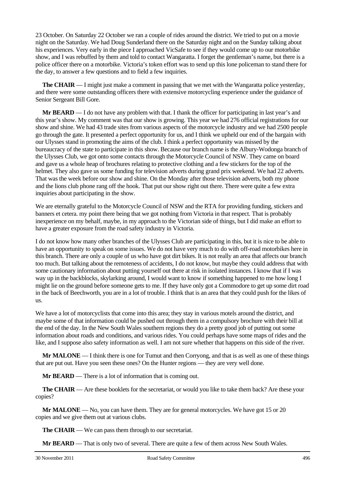23 October. On Saturday 22 October we ran a couple of rides around the district. We tried to put on a movie night on the Saturday. We had Doug Sunderland there on the Saturday night and on the Sunday talking about his experiences. Very early in the piece I approached VicSafe to see if they would come up to our motorbike show, and I was rebuffed by them and told to contact Wangaratta. I forget the gentleman's name, but there is a police officer there on a motorbike. Victoria's token effort was to send up this lone policeman to stand there for the day, to answer a few questions and to field a few inquiries.

**The CHAIR** — I might just make a comment in passing that we met with the Wangaratta police yesterday, and there were some outstanding officers there with extensive motorcycling experience under the guidance of Senior Sergeant Bill Gore.

**Mr BEARD** — I do not have any problem with that. I thank the officer for participating in last year's and this year's show. My comment was that our show is growing. This year we had 276 official registrations for our show and shine. We had 43 trade sites from various aspects of the motorcycle industry and we had 2500 people go through the gate. It presented a perfect opportunity for us, and I think we upheld our end of the bargain with our Ulysses stand in promoting the aims of the club. I think a perfect opportunity was missed by the bureaucracy of the state to participate in this show. Because our branch name is the Albury-Wodonga branch of the Ulysses Club, we got onto some contacts through the Motorcycle Council of NSW. They came on board and gave us a whole heap of brochures relating to protective clothing and a few stickers for the top of the helmet. They also gave us some funding for television adverts during grand prix weekend. We had 22 adverts. That was the week before our show and shine. On the Monday after those television adverts, both my phone and the lions club phone rang off the hook. That put our show right out there. There were quite a few extra inquiries about participating in the show.

We are eternally grateful to the Motorcycle Council of NSW and the RTA for providing funding, stickers and banners et cetera. my point there being that we got nothing from Victoria in that respect. That is probably inexperience on my behalf, maybe, in my approach to the Victorian side of things, but I did make an effort to have a greater exposure from the road safety industry in Victoria.

I do not know how many other branches of the Ulysses Club are participating in this, but it is nice to be able to have an opportunity to speak on some issues. We do not have very much to do with off-road motorbikes here in this branch. There are only a couple of us who have got dirt bikes. It is not really an area that affects our branch too much. But talking about the remoteness of accidents, I do not know, but maybe they could address that with some cautionary information about putting yourself out there at risk in isolated instances. I know that if I was way up in the backblocks, skylarking around, I would want to know if something happened to me how long I might lie on the ground before someone gets to me. If they have only got a Commodore to get up some dirt road in the back of Beechworth, you are in a lot of trouble. I think that is an area that they could push for the likes of us.

We have a lot of motorcyclists that come into this area; they stay in various motels around the district, and maybe some of that information could be pushed out through them in a compulsory brochure with their bill at the end of the day. In the New South Wales southern regions they do a pretty good job of putting out some information about roads and conditions, and various rides. You could perhaps have some maps of rides and the like, and I suppose also safety information as well. I am not sure whether that happens on this side of the river.

**Mr MALONE** — I think there is one for Tumut and then Corryong, and that is as well as one of these things that are put out. Have you seen these ones? On the Hunter regions — they are very well done.

**Mr BEARD** — There is a lot of information that is coming out.

**The CHAIR** — Are these booklets for the secretariat, or would you like to take them back? Are these your copies?

**Mr MALONE** — No, you can have them. They are for general motorcycles. We have got 15 or 20 copies and we give them out at various clubs.

**The CHAIR** — We can pass them through to our secretariat.

**Mr BEARD** — That is only two of several. There are quite a few of them across New South Wales.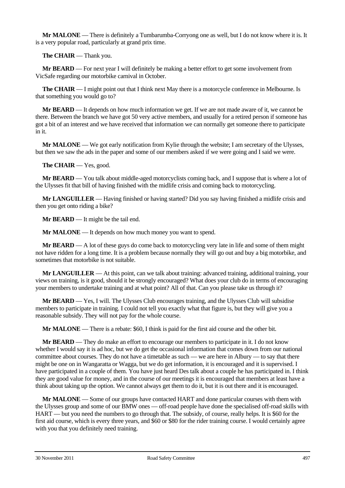**Mr MALONE** — There is definitely a Tumbarumba-Corryong one as well, but I do not know where it is. It is a very popular road, particularly at grand prix time.

**The CHAIR** — Thank you.

**Mr BEARD** — For next year I will definitely be making a better effort to get some involvement from VicSafe regarding our motorbike carnival in October.

**The CHAIR** — I might point out that I think next May there is a motorcycle conference in Melbourne. Is that something you would go to?

**Mr BEARD** — It depends on how much information we get. If we are not made aware of it, we cannot be there. Between the branch we have got 50 very active members, and usually for a retired person if someone has got a bit of an interest and we have received that information we can normally get someone there to participate in it.

**Mr MALONE** — We got early notification from Kylie through the website; I am secretary of the Ulysses, but then we saw the ads in the paper and some of our members asked if we were going and I said we were.

**The CHAIR** — Yes, good.

**Mr BEARD** — You talk about middle-aged motorcyclists coming back, and I suppose that is where a lot of the Ulysses fit that bill of having finished with the midlife crisis and coming back to motorcycling.

**Mr LANGUILLER** — Having finished or having started? Did you say having finished a midlife crisis and then you get onto riding a bike?

**Mr BEARD** — It might be the tail end.

**Mr MALONE** — It depends on how much money you want to spend.

**Mr BEARD** — A lot of these guys do come back to motorcycling very late in life and some of them might not have ridden for a long time. It is a problem because normally they will go out and buy a big motorbike, and sometimes that motorbike is not suitable.

**Mr LANGUILLER** — At this point, can we talk about training: advanced training, additional training, your views on training, is it good, should it be strongly encouraged? What does your club do in terms of encouraging your members to undertake training and at what point? All of that. Can you please take us through it?

**Mr BEARD** — Yes, I will. The Ulysses Club encourages training, and the Ulysses Club will subsidise members to participate in training. I could not tell you exactly what that figure is, but they will give you a reasonable subsidy. They will not pay for the whole course.

**Mr MALONE** — There is a rebate: \$60, I think is paid for the first aid course and the other bit.

**Mr BEARD** — They do make an effort to encourage our members to participate in it. I do not know whether I would say it is ad hoc, but we do get the occasional information that comes down from our national committee about courses. They do not have a timetable as such — we are here in Albury — to say that there might be one on in Wangaratta or Wagga, but we do get information, it is encouraged and it is supervised. I have participated in a couple of them. You have just heard Des talk about a couple he has participated in. I think they are good value for money, and in the course of our meetings it is encouraged that members at least have a think about taking up the option. We cannot always get them to do it, but it is out there and it is encouraged.

**Mr MALONE** — Some of our groups have contacted HART and done particular courses with them with the Ulysses group and some of our BMW ones — off-road people have done the specialised off-road skills with HART — but you need the numbers to go through that. The subsidy, of course, really helps. It is \$60 for the first aid course, which is every three years, and \$60 or \$80 for the rider training course. I would certainly agree with you that you definitely need training.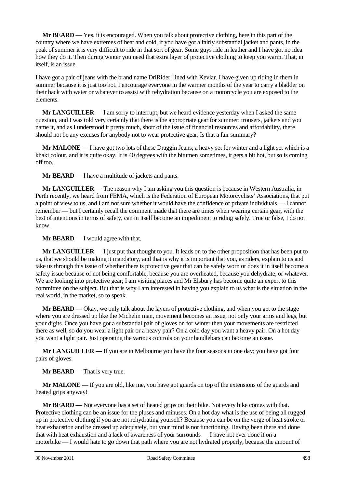**Mr BEARD** — Yes, it is encouraged. When you talk about protective clothing, here in this part of the country where we have extremes of heat and cold, if you have got a fairly substantial jacket and pants, in the peak of summer it is very difficult to ride in that sort of gear. Some guys ride in leather and I have got no idea how they do it. Then during winter you need that extra layer of protective clothing to keep you warm. That, in itself, is an issue.

I have got a pair of jeans with the brand name DriRider, lined with Kevlar. I have given up riding in them in summer because it is just too hot. I encourage everyone in the warmer months of the year to carry a bladder on their back with water or whatever to assist with rehydration because on a motorcycle you are exposed to the elements.

**Mr LANGUILLER** — I am sorry to interrupt, but we heard evidence yesterday when I asked the same question, and I was told very certainly that there is the appropriate gear for summer: trousers, jackets and you name it, and as I understood it pretty much, short of the issue of financial resources and affordability, there should not be any excuses for anybody not to wear protective gear. Is that a fair summary?

**Mr MALONE** — I have got two lots of these Draggin Jeans; a heavy set for winter and a light set which is a khaki colour, and it is quite okay. It is 40 degrees with the bitumen sometimes, it gets a bit hot, but so is coming off too.

**Mr BEARD** — I have a multitude of jackets and pants.

**Mr LANGUILLER** — The reason why I am asking you this question is because in Western Australia, in Perth recently, we heard from FEMA, which is the Federation of European Motorcyclists' Associations, that put a point of view to us, and I am not sure whether it would have the confidence of private individuals — I cannot remember — but I certainly recall the comment made that there are times when wearing certain gear, with the best of intentions in terms of safety, can in itself become an impediment to riding safely. True or false, I do not know.

**Mr BEARD** — I would agree with that.

**Mr LANGUILLER** — I just put that thought to you. It leads on to the other proposition that has been put to us, that we should be making it mandatory, and that is why it is important that you, as riders, explain to us and take us through this issue of whether there is protective gear that can be safely worn or does it in itself become a safety issue because of not being comfortable, because you are overheated, because you dehydrate, or whatever. We are looking into protective gear; I am visiting places and Mr Elsbury has become quite an expert to this committee on the subject. But that is why I am interested in having you explain to us what is the situation in the real world, in the market, so to speak.

**Mr BEARD** — Okay, we only talk about the layers of protective clothing, and when you get to the stage where you are dressed up like the Michelin man, movement becomes an issue, not only your arms and legs, but your digits. Once you have got a substantial pair of gloves on for winter then your movements are restricted there as well, so do you wear a light pair or a heavy pair? On a cold day you want a heavy pair. On a hot day you want a light pair. Just operating the various controls on your handlebars can become an issue.

**Mr LANGUILLER** — If you are in Melbourne you have the four seasons in one day; you have got four pairs of gloves.

**Mr BEARD** — That is very true.

**Mr MALONE** — If you are old, like me, you have got guards on top of the extensions of the guards and heated grips anyway!

**Mr BEARD** — Not everyone has a set of heated grips on their bike. Not every bike comes with that. Protective clothing can be an issue for the pluses and minuses. On a hot day what is the use of being all rugged up in protective clothing if you are not rehydrating yourself? Because you can be on the verge of heat stroke or heat exhaustion and be dressed up adequately, but your mind is not functioning. Having been there and done that with heat exhaustion and a lack of awareness of your surrounds — I have not ever done it on a motorbike — I would hate to go down that path where you are not hydrated properly, because the amount of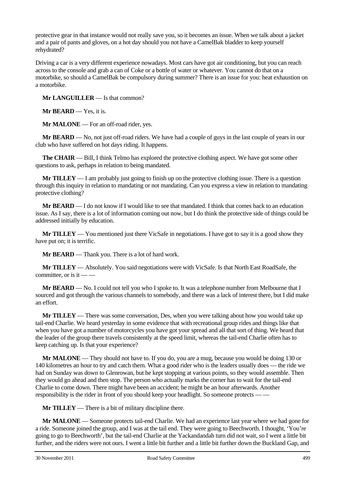protective gear in that instance would not really save you, so it becomes an issue. When we talk about a jacket and a pair of pants and gloves, on a hot day should you not have a CamelBak bladder to keep yourself rehydrated?

Driving a car is a very different experience nowadays. Most cars have got air conditioning, but you can reach across to the console and grab a can of Coke or a bottle of water or whatever. You cannot do that on a motorbike, so should a CamelBak be compulsory during summer? There is an issue for you: heat exhaustion on a motorbike.

**Mr LANGUILLER** — Is that common?

**Mr BEARD** — Yes, it is.

**Mr MALONE** — For an off-road rider, yes.

**Mr BEARD** — No, not just off-road riders. We have had a couple of guys in the last couple of years in our club who have suffered on hot days riding. It happens.

**The CHAIR** — Bill, I think Telmo has explored the protective clothing aspect. We have got some other questions to ask, perhaps in relation to being mandated.

**Mr TILLEY** — I am probably just going to finish up on the protective clothing issue. There is a question through this inquiry in relation to mandating or not mandating. Can you express a view in relation to mandating protective clothing?

**Mr BEARD** — I do not know if I would like to see that mandated. I think that comes back to an education issue. As I say, there is a lot of information coming out now, but I do think the protective side of things could be addressed initially by education.

**Mr TILLEY** — You mentioned just there VicSafe in negotiations. I have got to say it is a good show they have put on; it is terrific.

**Mr BEARD** — Thank you. There is a lot of hard work.

**Mr TILLEY** — Absolutely. You said negotiations were with VicSafe. Is that North East RoadSafe, the committee, or is it  $-$ 

**Mr BEARD** — No. I could not tell you who I spoke to. It was a telephone number from Melbourne that I sourced and got through the various channels to somebody, and there was a lack of interest there, but I did make an effort.

**Mr TILLEY** — There was some conversation, Des, when you were talking about how you would take up tail-end Charlie. We heard yesterday in some evidence that with recreational group rides and things like that when you have got a number of motorcycles you have got your spread and all that sort of thing. We heard that the leader of the group there travels consistently at the speed limit, whereas the tail-end Charlie often has to keep catching up. Is that your experience?

**Mr MALONE** — They should not have to. If you do, you are a mug, because you would be doing 130 or 140 kilometres an hour to try and catch them. What a good rider who is the leaders usually does — the ride we had on Sunday was down to Glenrowan, but he kept stopping at various points, so they would assemble. Then they would go ahead and then stop. The person who actually marks the corner has to wait for the tail-end Charlie to come down. There might have been an accident; he might be an hour afterwards. Another responsibility is the rider in front of you should keep your headlight. So someone protects — —

**Mr TILLEY** — There is a bit of military discipline there.

**Mr MALONE** — Someone protects tail-end Charlie. We had an experience last year where we had gone for a ride. Someone joined the group, and I was at the tail end. They were going to Beechworth. I thought, 'You're going to go to Beechworth', but the tail-end Charlie at the Yackandandah turn did not wait, so I went a little bit further, and the riders were not ours. I went a little bit further and a little bit further down the Buckland Gap, and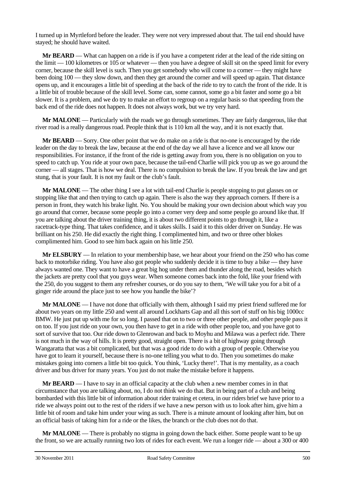I turned up in Myrtleford before the leader. They were not very impressed about that. The tail end should have stayed; he should have waited.

**Mr BEARD** — What can happen on a ride is if you have a competent rider at the lead of the ride sitting on the limit — 100 kilometres or 105 or whatever — then you have a degree of skill sit on the speed limit for every corner, because the skill level is such. Then you get somebody who will come to a corner — they might have been doing 100 — they slow down, and then they get around the corner and will speed up again. That distance opens up, and it encourages a little bit of speeding at the back of the ride to try to catch the front of the ride. It is a little bit of trouble because of the skill level. Some can, some cannot, some go a bit faster and some go a bit slower. It is a problem, and we do try to make an effort to regroup on a regular basis so that speeding from the back end of the ride does not happen. It does not always work, but we try very hard.

**Mr MALONE** — Particularly with the roads we go through sometimes. They are fairly dangerous, like that river road is a really dangerous road. People think that is 110 km all the way, and it is not exactly that.

**Mr BEARD** — Sorry. One other point that we do make on a ride is that no-one is encouraged by the ride leader on the day to break the law, because at the end of the day we all have a licence and we all know our responsibilities. For instance, if the front of the ride is getting away from you, there is no obligation on you to speed to catch up. You ride at your own pace, because the tail-end Charlie will pick you up as we go around the corner — all stages. That is how we deal. There is no compulsion to break the law. If you break the law and get stung, that is your fault. It is not my fault or the club's fault.

**Mr MALONE** — The other thing I see a lot with tail-end Charlie is people stopping to put glasses on or stopping like that and then trying to catch up again. There is also the way they approach corners. If there is a person in front, they watch his brake light. No. You should be making your own decision about which way you go around that corner, because some people go into a corner very deep and some people go around like that. If you are talking about the driver training thing, it is about two different points to go through it, like a racetrack-type thing. That takes confidence, and it takes skills. I said it to this older driver on Sunday. He was brilliant on his 250. He did exactly the right thing. I complimented him, and two or three other blokes complimented him. Good to see him back again on his little 250.

**Mr ELSBURY** — In relation to your membership base, we hear about your friend on the 250 who has come back to motorbike riding. You have also got people who suddenly decide it is time to buy a bike — they have always wanted one. They want to have a great big hog under them and thunder along the road, besides which the jackets are pretty cool that you guys wear. When someone comes back into the fold, like your friend with the 250, do you suggest to them any refresher courses, or do you say to them, 'We will take you for a bit of a ginger ride around the place just to see how you handle the bike'?

**Mr MALONE** — I have not done that officially with them, although I said my priest friend suffered me for about two years on my little 250 and went all around Lockharts Gap and all this sort of stuff on his big 1000cc BMW. He just put up with me for so long. I passed that on to two or three other people, and other people pass it on too. If you just ride on your own, you then have to get in a ride with other people too, and you have got to sort of survive that too. Our ride down to Glenrowan and back to Moyhu and Milawa was a perfect ride. There is not much in the way of hills. It is pretty good, straight open. There is a bit of highway going through Wangaratta that was a bit complicated, but that was a good ride to do with a group of people. Otherwise you have got to learn it yourself, because there is no-one telling you what to do. Then you sometimes do make mistakes going into corners a little bit too quick. You think, 'Lucky there!'. That is my mentality, as a coach driver and bus driver for many years. You just do not make the mistake before it happens.

**Mr BEARD** — I have to say in an official capacity at the club when a new member comes in in that circumstance that you are talking about, no, I do not think we do that. But in being part of a club and being bombarded with this little bit of information about rider training et cetera, in our riders brief we have prior to a ride we always point out to the rest of the riders if we have a new person with us to look after him, give him a little bit of room and take him under your wing as such. There is a minute amount of looking after him, but on an official basis of taking him for a ride or the likes, the branch or the club does not do that.

**Mr MALONE** — There is probably no stigma in going down the back either. Some people want to be up the front, so we are actually running two lots of rides for each event. We run a longer ride — about a 300 or 400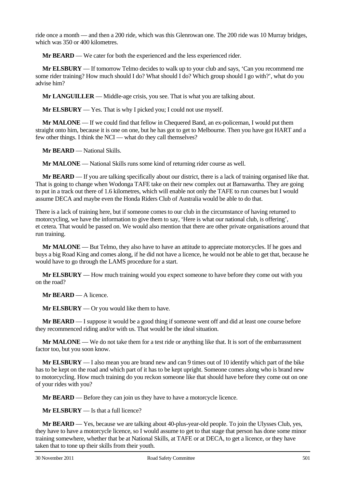ride once a month — and then a 200 ride, which was this Glenrowan one. The 200 ride was 10 Murray bridges, which was 350 or 400 kilometres.

**Mr BEARD** — We cater for both the experienced and the less experienced rider.

**Mr ELSBURY** — If tomorrow Telmo decides to walk up to your club and says, 'Can you recommend me some rider training? How much should I do? What should I do? Which group should I go with?', what do you advise him?

**Mr LANGUILLER** — Middle-age crisis, you see. That is what you are talking about.

**Mr ELSBURY** — Yes. That is why I picked you; I could not use myself.

**Mr MALONE** — If we could find that fellow in Chequered Band, an ex-policeman, I would put them straight onto him, because it is one on one, but he has got to get to Melbourne. Then you have got HART and a few other things. I think the NCI — what do they call themselves?

**Mr BEARD** — National Skills.

**Mr MALONE** — National Skills runs some kind of returning rider course as well.

**Mr BEARD** — If you are talking specifically about our district, there is a lack of training organised like that. That is going to change when Wodonga TAFE take on their new complex out at Barnawartha. They are going to put in a track out there of 1.6 kilometres, which will enable not only the TAFE to run courses but I would assume DECA and maybe even the Honda Riders Club of Australia would be able to do that.

There is a lack of training here, but if someone comes to our club in the circumstance of having returned to motorcycling, we have the information to give them to say, 'Here is what our national club, is offering', et cetera. That would be passed on. We would also mention that there are other private organisations around that run training.

**Mr MALONE** — But Telmo, they also have to have an attitude to appreciate motorcycles. If he goes and buys a big Road King and comes along, if he did not have a licence, he would not be able to get that, because he would have to go through the LAMS procedure for a start.

**Mr ELSBURY** — How much training would you expect someone to have before they come out with you on the road?

**Mr BEARD** — A licence.

**Mr ELSBURY** — Or you would like them to have.

**Mr BEARD** — I suppose it would be a good thing if someone went off and did at least one course before they recommenced riding and/or with us. That would be the ideal situation.

**Mr MALONE** — We do not take them for a test ride or anything like that. It is sort of the embarrassment factor too, but you soon know.

**Mr ELSBURY** — I also mean you are brand new and can 9 times out of 10 identify which part of the bike has to be kept on the road and which part of it has to be kept upright. Someone comes along who is brand new to motorcycling. How much training do you reckon someone like that should have before they come out on one of your rides with you?

**Mr BEARD** — Before they can join us they have to have a motorcycle licence.

**Mr ELSBURY** — Is that a full licence?

**Mr BEARD** — Yes, because we are talking about 40-plus-year-old people. To join the Ulysses Club, yes, they have to have a motorcycle licence, so I would assume to get to that stage that person has done some minor training somewhere, whether that be at National Skills, at TAFE or at DECA, to get a licence, or they have taken that to tone up their skills from their youth.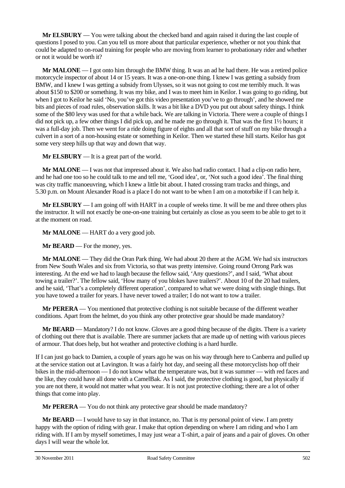**Mr ELSBURY** — You were talking about the checked band and again raised it during the last couple of questions I posed to you. Can you tell us more about that particular experience, whether or not you think that could be adapted to on-road training for people who are moving from learner to probationary rider and whether or not it would be worth it?

**Mr MALONE** — I got onto him through the BMW thing. It was an ad he had there. He was a retired police motorcycle inspector of about 14 or 15 years. It was a one-on-one thing. I knew I was getting a subsidy from BMW, and I knew I was getting a subsidy from Ulysses, so it was not going to cost me terribly much. It was about \$150 to \$200 or something. It was my bike, and I was to meet him in Keilor. I was going to go riding, but when I got to Keilor he said 'No, you've got this video presentation you've to go through', and he showed me bits and pieces of road rules, observation skills. It was a bit like a DVD you put out about safety things. I think some of the \$80 levy was used for that a while back. We are talking in Victoria. There were a couple of things I did not pick up, a few other things I did pick up, and he made me go through it. That was the first 1½ hours; it was a full-day job. Then we went for a ride doing figure of eights and all that sort of stuff on my bike through a culvert in a sort of a non-housing estate or something in Keilor. Then we started these hill starts. Keilor has got some very steep hills up that way and down that way.

**Mr ELSBURY** — It is a great part of the world.

**Mr MALONE** — I was not that impressed about it. We also had radio contact. I had a clip-on radio here, and he had one too so he could talk to me and tell me, 'Good idea', or, 'Not such a good idea'. The final thing was city traffic manoeuvring, which I knew a little bit about. I hated crossing tram tracks and things, and 5.30 p.m. on Mount Alexander Road is a place I do not want to be when I am on a motorbike if I can help it.

**Mr ELSBURY** — I am going off with HART in a couple of weeks time. It will be me and three others plus the instructor. It will not exactly be one-on-one training but certainly as close as you seem to be able to get to it at the moment on road.

**Mr MALONE** — HART do a very good job.

**Mr BEARD** — For the money, yes.

**Mr MALONE** — They did the Oran Park thing. We had about 20 there at the AGM. We had six instructors from New South Wales and six from Victoria, so that was pretty intensive. Going round Orrong Park was interesting. At the end we had to laugh because the fellow said, 'Any questions?', and I said, 'What about towing a trailer?'. The fellow said, 'How many of you blokes have trailers?'. About 10 of the 20 had trailers, and he said, 'That's a completely different operation', compared to what we were doing with single things. But you have towed a trailer for years. I have never towed a trailer; I do not want to tow a trailer.

**Mr PERERA** — You mentioned that protective clothing is not suitable because of the different weather conditions. Apart from the helmet, do you think any other protective gear should be made mandatory?

**Mr BEARD** — Mandatory? I do not know. Gloves are a good thing because of the digits. There is a variety of clothing out there that is available. There are summer jackets that are made up of netting with various pieces of armour. That does help, but hot weather and protective clothing is a hard hurdle.

If I can just go back to Damien, a couple of years ago he was on his way through here to Canberra and pulled up at the service station out at Lavington. It was a fairly hot day, and seeing all these motorcyclists hop off their bikes in the mid-afternoon — I do not know what the temperature was, but it was summer — with red faces and the like, they could have all done with a CamelBak. As I said, the protective clothing is good, but physically if you are not there, it would not matter what you wear. It is not just protective clothing; there are a lot of other things that come into play.

**Mr PERERA** — You do not think any protective gear should be made mandatory?

**Mr BEARD** — I would have to say in that instance, no. That is my personal point of view. I am pretty happy with the option of riding with gear. I make that option depending on where I am riding and who I am riding with. If I am by myself sometimes, I may just wear a T-shirt, a pair of jeans and a pair of gloves. On other days I will wear the whole lot.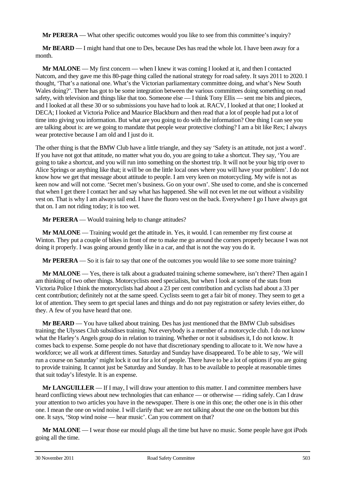**Mr PERERA** — What other specific outcomes would you like to see from this committee's inquiry?

**Mr BEARD** — I might hand that one to Des, because Des has read the whole lot. I have been away for a month.

**Mr MALONE** — My first concern — when I knew it was coming I looked at it, and then I contacted Natcom, and they gave me this 80-page thing called the national strategy for road safety. It says 2011 to 2020. I thought, 'That's a national one. What's the Victorian parliamentary committee doing, and what's New South Wales doing?'. There has got to be some integration between the various committees doing something on road safety, with television and things like that too. Someone else — I think Tony Ellis — sent me bits and pieces, and I looked at all these 30 or so submissions you have had to look at. RACV, I looked at that one; I looked at DECA; I looked at Victoria Police and Maurice Blackburn and then read that a lot of people had put a lot of time into giving you information. But what are you going to do with the information? One thing I can see you are talking about is: are we going to mandate that people wear protective clothing? I am a bit like Rex; I always wear protective because I am old and I just do it.

The other thing is that the BMW Club have a little triangle, and they say 'Safety is an attitude, not just a word'. If you have not got that attitude, no matter what you do, you are going to take a shortcut. They say, 'You are going to take a shortcut, and you will run into something on the shortest trip. It will not be your big trip over to Alice Springs or anything like that; it will be on the little local ones where you will have your problem'. I do not know how we get that message about attitude to people. I am very keen on motorcycling. My wife is not as keen now and will not come. 'Secret men's business. Go on your own'. She used to come, and she is concerned that when I get there I contact her and say what has happened. She will not even let me out without a visibility vest on. That is why I am always tail end. I have the fluoro vest on the back. Everywhere I go I have always got that on. I am not riding today; it is too wet.

**Mr PERERA** — Would training help to change attitudes?

**Mr MALONE** — Training would get the attitude in. Yes, it would. I can remember my first course at Winton. They put a couple of bikes in front of me to make me go around the corners properly because I was not doing it properly. I was going around gently like in a car, and that is not the way you do it.

**Mr PERERA** — So it is fair to say that one of the outcomes you would like to see some more training?

**Mr MALONE** — Yes, there is talk about a graduated training scheme somewhere, isn't there? Then again I am thinking of two other things. Motorcyclists need specialists, but when I look at some of the stats from Victoria Police I think the motorcyclists had about a 23 per cent contribution and cyclists had about a 33 per cent contribution; definitely not at the same speed. Cyclists seem to get a fair bit of money. They seem to get a lot of attention. They seem to get special lanes and things and do not pay registration or safety levies either, do they. A few of you have heard that one.

**Mr BEARD** — You have talked about training. Des has just mentioned that the BMW Club subsidises training; the Ulysses Club subsidises training. Not everybody is a member of a motorcycle club. I do not know what the Harley's Angels group do in relation to training. Whether or not it subsidises it, I do not know. It comes back to expense. Some people do not have that discretionary spending to allocate to it. We now have a workforce; we all work at different times. Saturday and Sunday have disappeared. To be able to say, 'We will run a course on Saturday' might lock it out for a lot of people. There have to be a lot of options if you are going to provide training. It cannot just be Saturday and Sunday. It has to be available to people at reasonable times that suit today's lifestyle. It is an expense.

**Mr LANGUILLER** — If I may, I will draw your attention to this matter. I and committee members have heard conflicting views about new technologies that can enhance — or otherwise — riding safely. Can I draw your attention to two articles you have in the newspaper. There is one in this one; the other one is in this other one. I mean the one on wind noise. I will clarify that: we are not talking about the one on the bottom but this one. It says, 'Stop wind noise — hear music'. Can you comment on that?

**Mr MALONE** — I wear those ear mould plugs all the time but have no music. Some people have got iPods going all the time.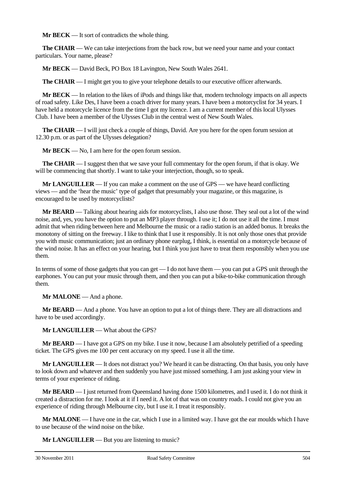**Mr BECK** — It sort of contradicts the whole thing.

**The CHAIR** — We can take interjections from the back row, but we need your name and your contact particulars. Your name, please?

**Mr BECK** — David Beck, PO Box 18 Lavington, New South Wales 2641.

**The CHAIR** — I might get you to give your telephone details to our executive officer afterwards.

**Mr BECK** — In relation to the likes of iPods and things like that, modern technology impacts on all aspects of road safety. Like Des, I have been a coach driver for many years. I have been a motorcyclist for 34 years. I have held a motorcycle licence from the time I got my licence. I am a current member of this local Ulysses Club. I have been a member of the Ulysses Club in the central west of New South Wales.

**The CHAIR** — I will just check a couple of things, David. Are you here for the open forum session at 12.30 p.m. or as part of the Ulysses delegation?

**Mr BECK** — No, I am here for the open forum session.

**The CHAIR** — I suggest then that we save your full commentary for the open forum, if that is okay. We will be commencing that shortly. I want to take your interjection, though, so to speak.

**Mr LANGUILLER** — If you can make a comment on the use of GPS — we have heard conflicting views — and the 'hear the music' type of gadget that presumably your magazine, or this magazine, is encouraged to be used by motorcyclists?

**Mr BEARD** — Talking about hearing aids for motorcyclists, I also use those. They seal out a lot of the wind noise, and, yes, you have the option to put an MP3 player through. I use it; I do not use it all the time. I must admit that when riding between here and Melbourne the music or a radio station is an added bonus. It breaks the monotony of sitting on the freeway. I like to think that I use it responsibly. It is not only those ones that provide you with music communication; just an ordinary phone earplug, I think, is essential on a motorcycle because of the wind noise. It has an effect on your hearing, but I think you just have to treat them responsibly when you use them.

In terms of some of those gadgets that you can get — I do not have them — you can put a GPS unit through the earphones. You can put your music through them, and then you can put a bike-to-bike communication through them.

**Mr MALONE** — And a phone.

**Mr BEARD** — And a phone. You have an option to put a lot of things there. They are all distractions and have to be used accordingly.

**Mr LANGUILLER** — What about the GPS?

**Mr BEARD** — I have got a GPS on my bike. I use it now, because I am absolutely petrified of a speeding ticket. The GPS gives me 100 per cent accuracy on my speed. I use it all the time.

**Mr LANGUILLER** — It does not distract you? We heard it can be distracting. On that basis, you only have to look down and whatever and then suddenly you have just missed something. I am just asking your view in terms of your experience of riding.

**Mr BEARD** — I just returned from Queensland having done 1500 kilometres, and I used it. I do not think it created a distraction for me. I look at it if I need it. A lot of that was on country roads. I could not give you an experience of riding through Melbourne city, but I use it. I treat it responsibly.

**Mr MALONE** — I have one in the car, which I use in a limited way. I have got the ear moulds which I have to use because of the wind noise on the bike.

**Mr LANGUILLER** — But you are listening to music?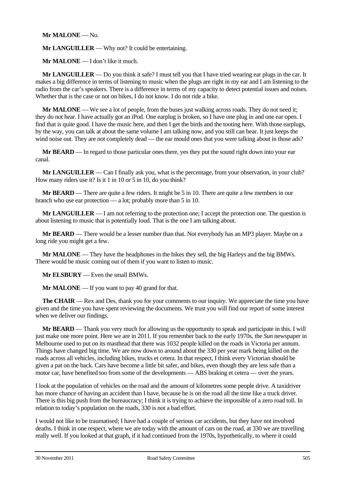## **Mr MALONE** — No.

**Mr LANGUILLER** — Why not? It could be entertaining.

**Mr MALONE** — I don't like it much.

**Mr LANGUILLER** — Do you think it safe? I must tell you that I have tried wearing ear plugs in the car. It makes a big difference in terms of listening to music when the plugs are right in my ear and I am listening to the radio from the car's speakers. There is a difference in terms of my capacity to detect potential issues and noises. Whether that is the case or not on bikes, I do not know. I do not ride a bike.

**Mr MALONE** — We see a lot of people, from the buses just walking across roads. They do not need it; they do not hear. I have actually got an iPod. One earplug is broken, so I have one plug in and one ear open. I find that is quite good. I have the music here, and then I get the birds and the tooting here. With those earplugs, by the way, you can talk at about the same volume I am talking now, and you still can hear. It just keeps the wind noise out. They are not completely dead — the ear mould ones that you were talking about in those ads?

**Mr BEARD** — In regard to those particular ones there, yes they put the sound right down into your ear canal.

**Mr LANGUILLER** — Can I finally ask you, what is the percentage, from your observation, in your club? How many riders use it? Is it 1 in 10 or 5 in 10, do you think?

**Mr BEARD** — There are quite a few riders. It might be 5 in 10. There are quite a few members in our branch who use ear protection — a lot; probably more than 5 in 10.

**Mr LANGUILLER** — I am not referring to the protection one; I accept the protection one. The question is about listening to music that is potentially loud. That is the one I am talking about.

**Mr BEARD** — There would be a lesser number than that. Not everybody has an MP3 player. Maybe on a long ride you might get a few.

**Mr MALONE** — They have the headphones in the bikes they sell, the big Harleys and the big BMWs. There would be music coming out of them if you want to listen to music.

**Mr ELSBURY** — Even the small BMWs.

**Mr MALONE** — If you want to pay 40 grand for that.

**The CHAIR** — Rex and Des, thank you for your comments to our inquiry. We appreciate the time you have given and the time you have spent reviewing the documents. We trust you will find our report of some interest when we deliver our findings.

**Mr BEARD** — Thank you very much for allowing us the opportunity to speak and participate in this. I will just make one more point. Here we are in 2011. If you remember back to the early 1970s, the *Sun* newspaper in Melbourne used to put on its masthead that there was 1032 people killed on the roads in Victoria per annum. Things have changed big time. We are now down to around about the 330 per year mark being killed on the roads across all vehicles, including bikes, trucks et cetera. In that respect, I think every Victorian should be given a pat on the back. Cars have become a little bit safer, and bikes, even though they are less safe than a motor car, have benefited too from some of the developments — ABS braking et cetera — over the years.

I look at the population of vehicles on the road and the amount of kilometres some people drive. A taxidriver has more chance of having an accident than I have, because he is on the road all the time like a truck driver. There is this big push from the bureaucracy; I think it is trying to achieve the impossible of a zero road toll. In relation to today's population on the roads, 330 is not a bad effort.

I would not like to be traumatised; I have had a couple of serious car accidents, but they have not involved deaths. I think in one respect, where we are today with the amount of cars on the road, at 330 we are travelling really well. If you looked at that graph, if it had continued from the 1970s, hypothetically, to where it could